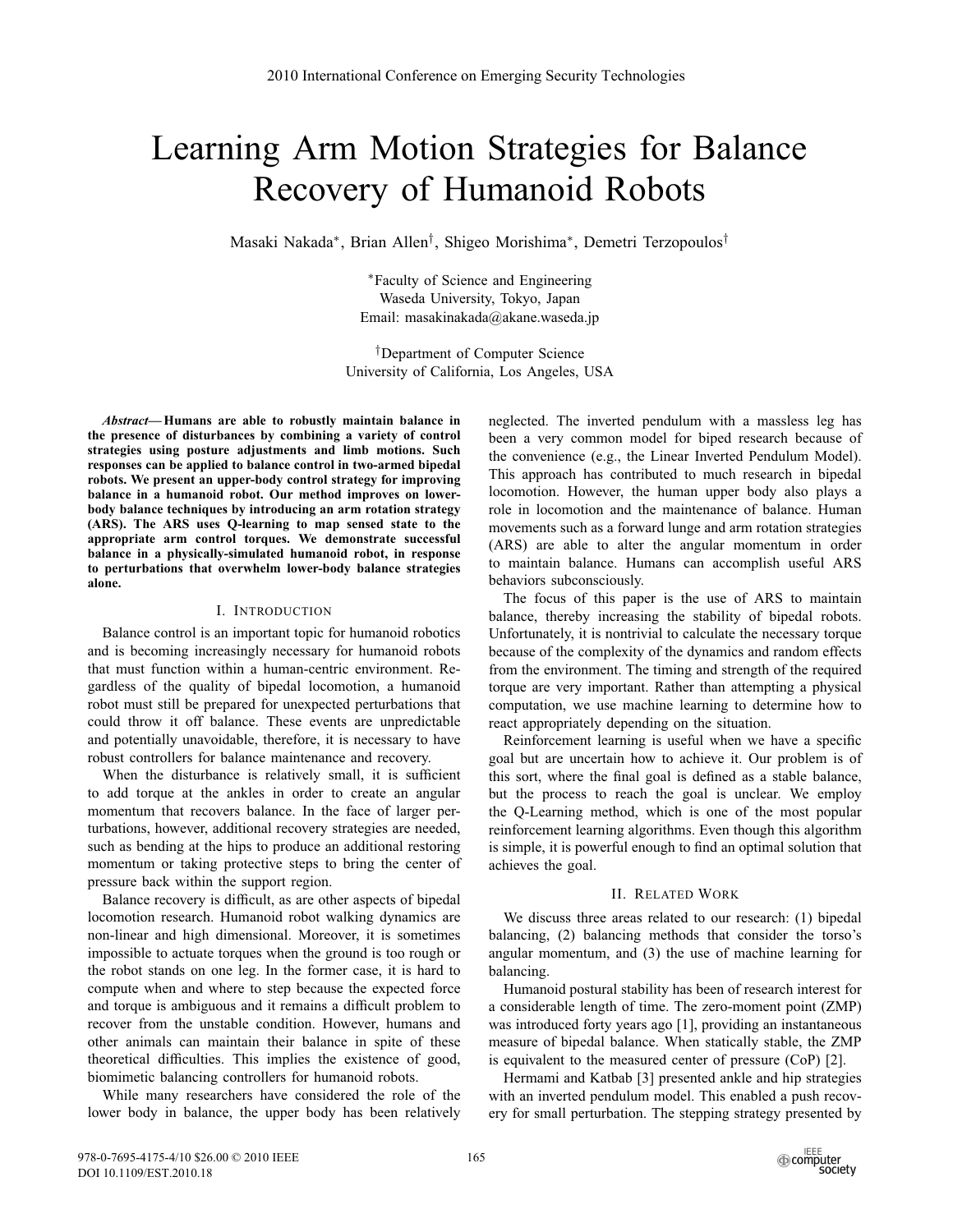# Learning Arm Motion Strategies for Balance Recovery of Humanoid Robots

Masaki Nakada∗, Brian Allen†, Shigeo Morishima∗, Demetri Terzopoulos†

∗Faculty of Science and Engineering Waseda University, Tokyo, Japan Email: masakinakada@akane.waseda.jp

†Department of Computer Science University of California, Los Angeles, USA

*Abstract***— Humans are able to robustly maintain balance in the presence of disturbances by combining a variety of control strategies using posture adjustments and limb motions. Such responses can be applied to balance control in two-armed bipedal robots. We present an upper-body control strategy for improving balance in a humanoid robot. Our method improves on lowerbody balance techniques by introducing an arm rotation strategy (ARS). The ARS uses Q-learning to map sensed state to the appropriate arm control torques. We demonstrate successful balance in a physically-simulated humanoid robot, in response to perturbations that overwhelm lower-body balance strategies alone.**

## I. INTRODUCTION

Balance control is an important topic for humanoid robotics and is becoming increasingly necessary for humanoid robots that must function within a human-centric environment. Regardless of the quality of bipedal locomotion, a humanoid robot must still be prepared for unexpected perturbations that could throw it off balance. These events are unpredictable and potentially unavoidable, therefore, it is necessary to have robust controllers for balance maintenance and recovery.

When the disturbance is relatively small, it is sufficient to add torque at the ankles in order to create an angular momentum that recovers balance. In the face of larger perturbations, however, additional recovery strategies are needed, such as bending at the hips to produce an additional restoring momentum or taking protective steps to bring the center of pressure back within the support region.

Balance recovery is difficult, as are other aspects of bipedal locomotion research. Humanoid robot walking dynamics are non-linear and high dimensional. Moreover, it is sometimes impossible to actuate torques when the ground is too rough or the robot stands on one leg. In the former case, it is hard to compute when and where to step because the expected force and torque is ambiguous and it remains a difficult problem to recover from the unstable condition. However, humans and other animals can maintain their balance in spite of these theoretical difficulties. This implies the existence of good, biomimetic balancing controllers for humanoid robots.

While many researchers have considered the role of the lower body in balance, the upper body has been relatively

neglected. The inverted pendulum with a massless leg has been a very common model for biped research because of the convenience (e.g., the Linear Inverted Pendulum Model). This approach has contributed to much research in bipedal locomotion. However, the human upper body also plays a role in locomotion and the maintenance of balance. Human movements such as a forward lunge and arm rotation strategies (ARS) are able to alter the angular momentum in order to maintain balance. Humans can accomplish useful ARS behaviors subconsciously.

The focus of this paper is the use of ARS to maintain balance, thereby increasing the stability of bipedal robots. Unfortunately, it is nontrivial to calculate the necessary torque because of the complexity of the dynamics and random effects from the environment. The timing and strength of the required torque are very important. Rather than attempting a physical computation, we use machine learning to determine how to react appropriately depending on the situation.

Reinforcement learning is useful when we have a specific goal but are uncertain how to achieve it. Our problem is of this sort, where the final goal is defined as a stable balance, but the process to reach the goal is unclear. We employ the Q-Learning method, which is one of the most popular reinforcement learning algorithms. Even though this algorithm is simple, it is powerful enough to find an optimal solution that achieves the goal.

### II. RELATED WORK

We discuss three areas related to our research: (1) bipedal balancing, (2) balancing methods that consider the torso's angular momentum, and (3) the use of machine learning for balancing.

Humanoid postural stability has been of research interest for a considerable length of time. The zero-moment point (ZMP) was introduced forty years ago [1], providing an instantaneous measure of bipedal balance. When statically stable, the ZMP is equivalent to the measured center of pressure (CoP) [2].

Hermami and Katbab [3] presented ankle and hip strategies with an inverted pendulum model. This enabled a push recovery for small perturbation. The stepping strategy presented by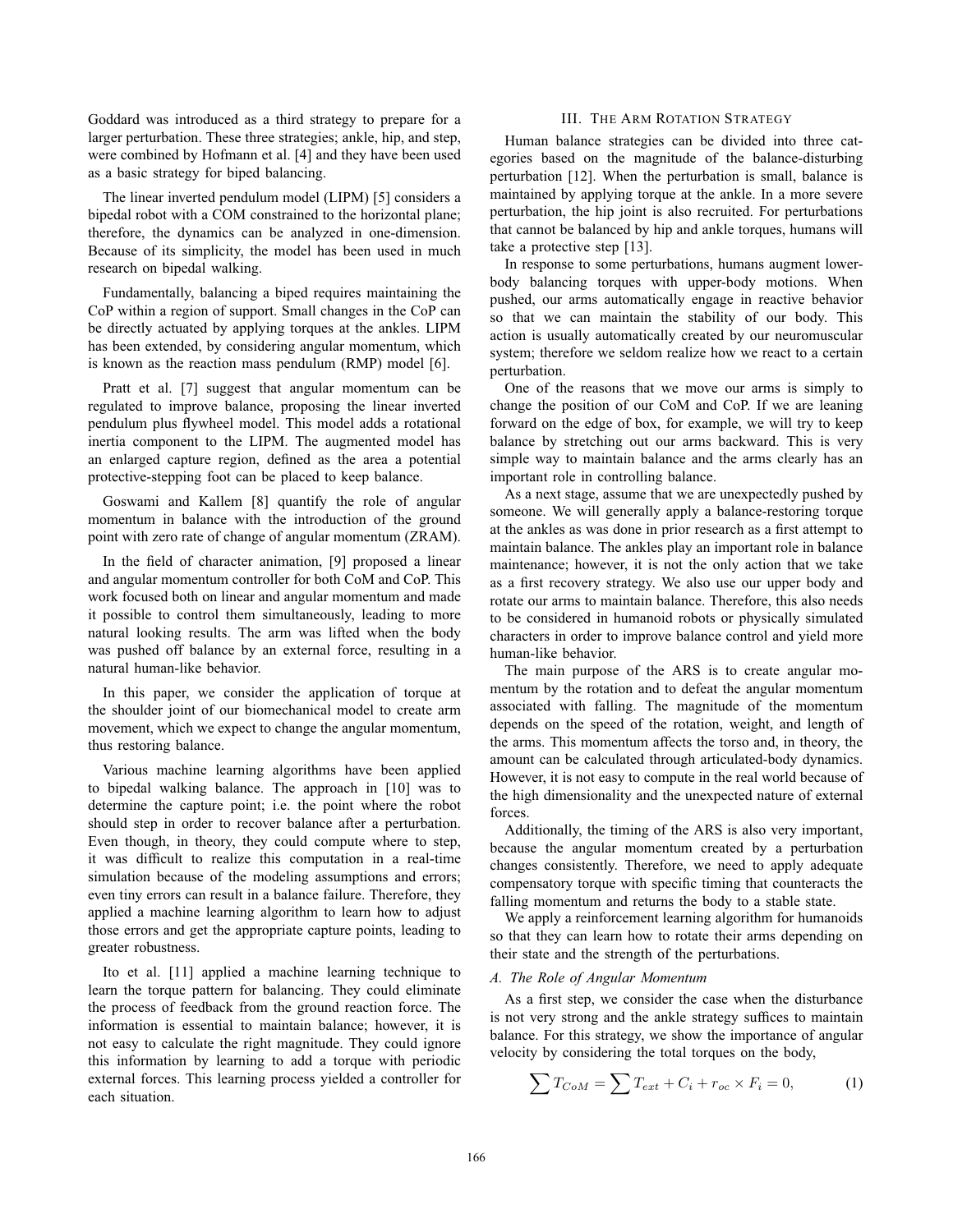Goddard was introduced as a third strategy to prepare for a larger perturbation. These three strategies; ankle, hip, and step, were combined by Hofmann et al. [4] and they have been used as a basic strategy for biped balancing.

The linear inverted pendulum model (LIPM) [5] considers a bipedal robot with a COM constrained to the horizontal plane; therefore, the dynamics can be analyzed in one-dimension. Because of its simplicity, the model has been used in much research on bipedal walking.

Fundamentally, balancing a biped requires maintaining the CoP within a region of support. Small changes in the CoP can be directly actuated by applying torques at the ankles. LIPM has been extended, by considering angular momentum, which is known as the reaction mass pendulum (RMP) model [6].

Pratt et al. [7] suggest that angular momentum can be regulated to improve balance, proposing the linear inverted pendulum plus flywheel model. This model adds a rotational inertia component to the LIPM. The augmented model has an enlarged capture region, defined as the area a potential protective-stepping foot can be placed to keep balance.

Goswami and Kallem [8] quantify the role of angular momentum in balance with the introduction of the ground point with zero rate of change of angular momentum (ZRAM).

In the field of character animation, [9] proposed a linear and angular momentum controller for both CoM and CoP. This work focused both on linear and angular momentum and made it possible to control them simultaneously, leading to more natural looking results. The arm was lifted when the body was pushed off balance by an external force, resulting in a natural human-like behavior.

In this paper, we consider the application of torque at the shoulder joint of our biomechanical model to create arm movement, which we expect to change the angular momentum, thus restoring balance.

Various machine learning algorithms have been applied to bipedal walking balance. The approach in [10] was to determine the capture point; i.e. the point where the robot should step in order to recover balance after a perturbation. Even though, in theory, they could compute where to step, it was difficult to realize this computation in a real-time simulation because of the modeling assumptions and errors; even tiny errors can result in a balance failure. Therefore, they applied a machine learning algorithm to learn how to adjust those errors and get the appropriate capture points, leading to greater robustness.

Ito et al. [11] applied a machine learning technique to learn the torque pattern for balancing. They could eliminate the process of feedback from the ground reaction force. The information is essential to maintain balance; however, it is not easy to calculate the right magnitude. They could ignore this information by learning to add a torque with periodic external forces. This learning process yielded a controller for each situation.

# III. THE ARM ROTATION STRATEGY

Human balance strategies can be divided into three categories based on the magnitude of the balance-disturbing perturbation [12]. When the perturbation is small, balance is maintained by applying torque at the ankle. In a more severe perturbation, the hip joint is also recruited. For perturbations that cannot be balanced by hip and ankle torques, humans will take a protective step [13].

In response to some perturbations, humans augment lowerbody balancing torques with upper-body motions. When pushed, our arms automatically engage in reactive behavior so that we can maintain the stability of our body. This action is usually automatically created by our neuromuscular system; therefore we seldom realize how we react to a certain perturbation.

One of the reasons that we move our arms is simply to change the position of our CoM and CoP. If we are leaning forward on the edge of box, for example, we will try to keep balance by stretching out our arms backward. This is very simple way to maintain balance and the arms clearly has an important role in controlling balance.

As a next stage, assume that we are unexpectedly pushed by someone. We will generally apply a balance-restoring torque at the ankles as was done in prior research as a first attempt to maintain balance. The ankles play an important role in balance maintenance; however, it is not the only action that we take as a first recovery strategy. We also use our upper body and rotate our arms to maintain balance. Therefore, this also needs to be considered in humanoid robots or physically simulated characters in order to improve balance control and yield more human-like behavior.

The main purpose of the ARS is to create angular momentum by the rotation and to defeat the angular momentum associated with falling. The magnitude of the momentum depends on the speed of the rotation, weight, and length of the arms. This momentum affects the torso and, in theory, the amount can be calculated through articulated-body dynamics. However, it is not easy to compute in the real world because of the high dimensionality and the unexpected nature of external forces.

Additionally, the timing of the ARS is also very important, because the angular momentum created by a perturbation changes consistently. Therefore, we need to apply adequate compensatory torque with specific timing that counteracts the falling momentum and returns the body to a stable state.

We apply a reinforcement learning algorithm for humanoids so that they can learn how to rotate their arms depending on their state and the strength of the perturbations.

# *A. The Role of Angular Momentum*

As a first step, we consider the case when the disturbance is not very strong and the ankle strategy suffices to maintain balance. For this strategy, we show the importance of angular velocity by considering the total torques on the body,

$$
\sum T_{CoM} = \sum T_{ext} + C_i + r_{oc} \times F_i = 0,
$$
 (1)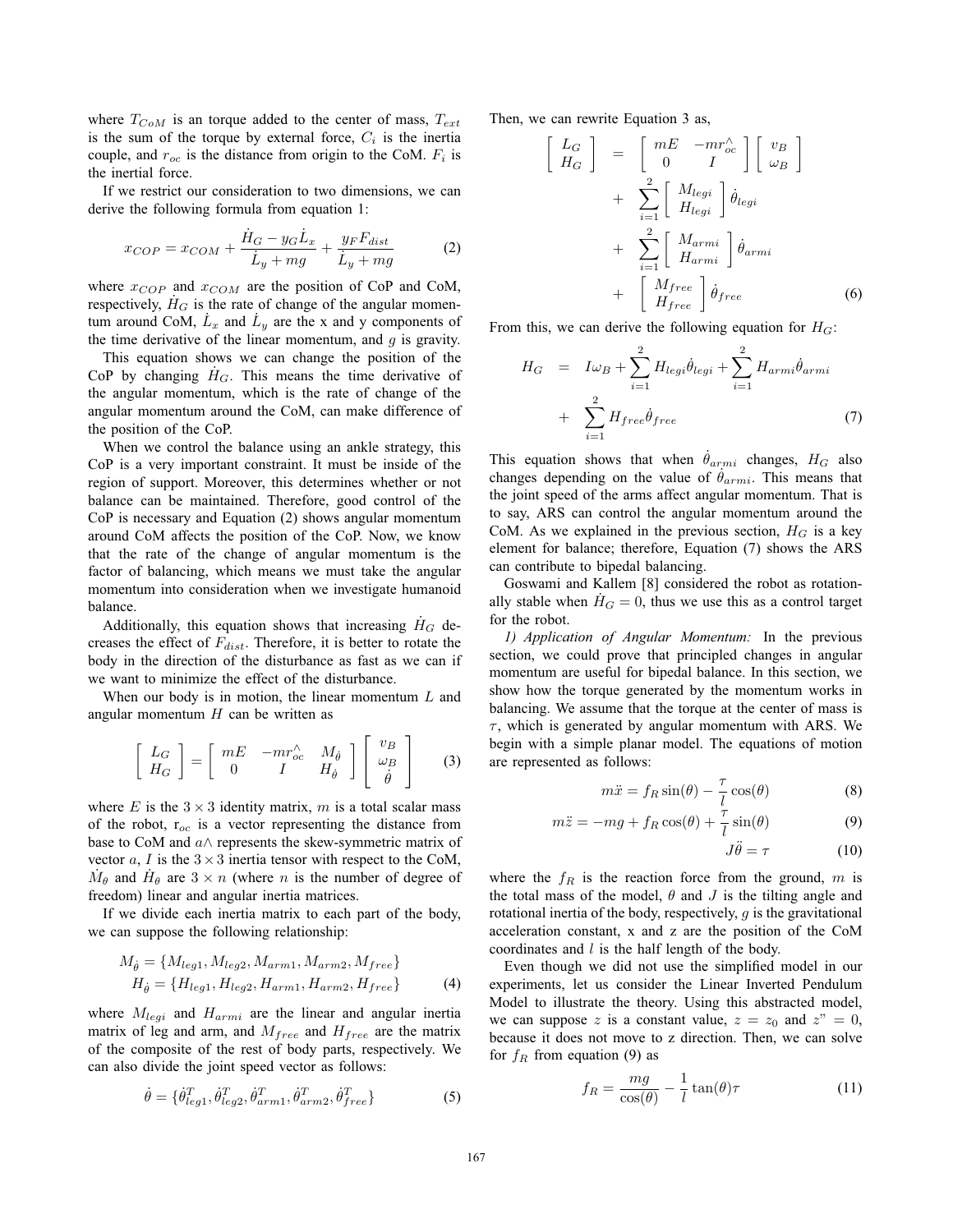where  $T_{CoM}$  is an torque added to the center of mass,  $T_{ext}$ is the sum of the torque by external force,  $C_i$  is the inertia couple, and  $r_{oc}$  is the distance from origin to the CoM.  $F_i$  is the inertial force.

If we restrict our consideration to two dimensions, we can derive the following formula from equation 1:

$$
x_{COP} = x_{COM} + \frac{\dot{H}_G - y_G \dot{L}_x}{\dot{L}_y + mg} + \frac{y_F F_{dist}}{\dot{L}_y + mg}
$$
(2)

where  $x_{COP}$  and  $x_{COM}$  are the position of CoP and CoM, respectively,  $H_G$  is the rate of change of the angular momentum around CoM,  $\dot{L}_x$  and  $\dot{L}_y$  are the x and y components of the time derivative of the linear momentum, and  $q$  is gravity.

This equation shows we can change the position of the CoP by changing  $H_G$ . This means the time derivative of the angular momentum, which is the rate of change of the angular momentum around the CoM, can make difference of the position of the CoP.

When we control the balance using an ankle strategy, this CoP is a very important constraint. It must be inside of the region of support. Moreover, this determines whether or not balance can be maintained. Therefore, good control of the CoP is necessary and Equation (2) shows angular momentum around CoM affects the position of the CoP. Now, we know that the rate of the change of angular momentum is the factor of balancing, which means we must take the angular momentum into consideration when we investigate humanoid balance.

Additionally, this equation shows that increasing  $H_G$  decreases the effect of  $F_{dist}$ . Therefore, it is better to rotate the body in the direction of the disturbance as fast as we can if we want to minimize the effect of the disturbance.

When our body is in motion, the linear momentum  $L$  and angular momentum  $H$  can be written as

$$
\left[\begin{array}{c} L_G \\ H_G \end{array}\right] = \left[\begin{array}{cc} mE & -mr^{\wedge}_{oc} & M_{\dot{\theta}} \\ 0 & I & H_{\dot{\theta}} \end{array}\right] \left[\begin{array}{c} v_B \\ \omega_B \\ \dot{\theta} \end{array}\right] \qquad (3)
$$

where E is the  $3 \times 3$  identity matrix, m is a total scalar mass of the robot,  $r_{oc}$  is a vector representing the distance from base to CoM and  $a \wedge$  represents the skew-symmetric matrix of vector a, I is the  $3 \times 3$  inertia tensor with respect to the CoM,  $M_{\theta}$  and  $H_{\theta}$  are  $3 \times n$  (where n is the number of degree of freedom) linear and angular inertia matrices.

If we divide each inertia matrix to each part of the body, we can suppose the following relationship:

$$
M_{\hat{\theta}} = \{M_{leg1}, M_{leg2}, M_{arm1}, M_{arm2}, M_{free}\}
$$
  

$$
H_{\hat{\theta}} = \{H_{leg1}, H_{leg2}, H_{arm1}, H_{arm2}, H_{free}\}
$$
(4)

where  $M_{legi}$  and  $H_{armi}$  are the linear and angular inertia matrix of leg and arm, and  $M_{free}$  and  $H_{free}$  are the matrix of the composite of the rest of body parts, respectively. We can also divide the joint speed vector as follows:

$$
\dot{\theta} = \{\dot{\theta}_{leg1}^{T}, \dot{\theta}_{leg2}^{T}, \dot{\theta}_{arm1}^{T}, \dot{\theta}_{arm2}^{T}, \dot{\theta}_{free}^{T}\}\
$$
(5)

Then, we can rewrite Equation 3 as,

$$
\begin{bmatrix}\nL_G \\
H_G\n\end{bmatrix} = \begin{bmatrix}\nmE & -mr_{oc}^{\wedge} \\
0 & I\n\end{bmatrix} \begin{bmatrix}\nv_B \\
\omega_B\n\end{bmatrix} + \sum_{i=1}^{2} \begin{bmatrix}\nM_{legi} \\
H_{legi}\n\end{bmatrix} \dot{\theta}_{legi} + \sum_{i=1}^{2} \begin{bmatrix}\nM_{armi} \\
H_{armi}\n\end{bmatrix} \dot{\theta}_{armi} + \begin{bmatrix}\nM_{free} \\
H_{free}\n\end{bmatrix} \dot{\theta}_{free}
$$
\n(6)

From this, we can derive the following equation for  $H_G$ :

$$
H_G = I\omega_B + \sum_{i=1}^2 H_{legi} \dot{\theta}_{legi} + \sum_{i=1}^2 H_{armi} \dot{\theta}_{armi}
$$

$$
+ \sum_{i=1}^2 H_{free} \dot{\theta}_{free}
$$
(7)

This equation shows that when  $\dot{\theta}_{armi}$  changes,  $H_G$  also changes depending on the value of  $\dot{\theta}$ . This means that changes depending on the value of  $\hat{\theta}_{armi}$ . This means that the joint speed of the arms affect appular momentum. That is the joint speed of the arms affect angular momentum. That is to say, ARS can control the angular momentum around the CoM. As we explained in the previous section,  $H_G$  is a key element for balance; therefore, Equation (7) shows the ARS can contribute to bipedal balancing.

Goswami and Kallem [8] considered the robot as rotationally stable when  $H_G = 0$ , thus we use this as a control target for the robot.

*1) Application of Angular Momentum:* In the previous section, we could prove that principled changes in angular momentum are useful for bipedal balance. In this section, we show how the torque generated by the momentum works in balancing. We assume that the torque at the center of mass is  $\tau$ , which is generated by angular momentum with ARS. We begin with a simple planar model. The equations of motion are represented as follows:

$$
m\ddot{x} = f_R \sin(\theta) - \frac{\tau}{l} \cos(\theta)
$$
(8)

$$
m\ddot{z} = -mg + f_R \cos(\theta) + \frac{\tau}{l} \sin(\theta)
$$
(9)  

$$
I\ddot{\theta} - \tau
$$
(10)

$$
J\ddot{\theta} = \tau \tag{10}
$$

where the  $f_R$  is the reaction force from the ground, m is the total mass of the model,  $\theta$  and  $J$  is the tilting angle and rotational inertia of the body, respectively,  $g$  is the gravitational acceleration constant, x and z are the position of the CoM coordinates and  $l$  is the half length of the body.

Even though we did not use the simplified model in our experiments, let us consider the Linear Inverted Pendulum Model to illustrate the theory. Using this abstracted model, we can suppose z is a constant value,  $z = z_0$  and  $z'' = 0$ , because it does not move to z direction. Then, we can solve for  $f_R$  from equation (9) as

$$
f_R = \frac{mg}{\cos(\theta)} - \frac{1}{l} \tan(\theta)\tau
$$
 (11)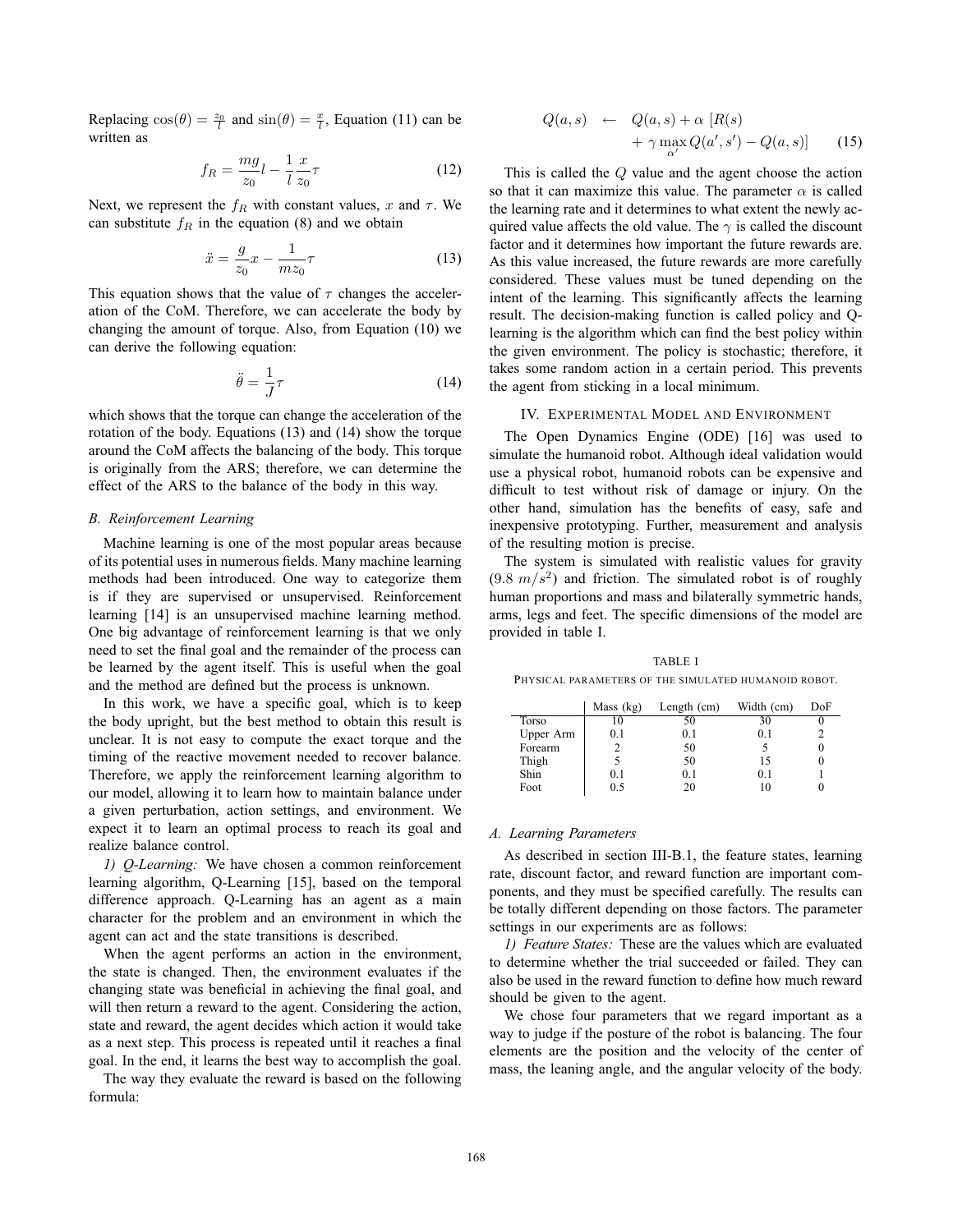Replacing  $cos(\theta) = \frac{z_0}{l}$  and  $sin(\theta) = \frac{x}{l}$ , Equation (11) can be written as written as

$$
f_R = \frac{mg}{z_0}l - \frac{1}{l}\frac{x}{z_0}\tau\tag{12}
$$

Next, we represent the  $f_R$  with constant values, x and  $\tau$ . We can substitute  $f_R$  in the equation (8) and we obtain can substitute  $f_R$  in the equation (8) and we obtain

$$
\ddot{x} = \frac{g}{z_0}x - \frac{1}{mz_0}\tau\tag{13}
$$

This equation shows that the value of  $\tau$  changes the acceleration of the CoM. Therefore, we can accelerate the body by changing the amount of torque. Also, from Equation (10) we can derive the following equation:

$$
\ddot{\theta} = \frac{1}{J}\tau
$$
 (14)  
which shows that the torque can change the acceleration of the

rotation of the body. Equations (13) and (14) show the torque around the CoM affects the balancing of the body. This torque is originally from the ARS; therefore, we can determine the effect of the ARS to the balance of the body in this way.

### *B. Reinforcement Learning*

Machine learning is one of the most popular areas because of its potential uses in numerous fields. Many machine learning methods had been introduced. One way to categorize them is if they are supervised or unsupervised. Reinforcement learning [14] is an unsupervised machine learning method. One big advantage of reinforcement learning is that we only need to set the final goal and the remainder of the process can be learned by the agent itself. This is useful when the goal and the method are defined but the process is unknown.

In this work, we have a specific goal, which is to keep the body upright, but the best method to obtain this result is unclear. It is not easy to compute the exact torque and the timing of the reactive movement needed to recover balance. Therefore, we apply the reinforcement learning algorithm to our model, allowing it to learn how to maintain balance under a given perturbation, action settings, and environment. We expect it to learn an optimal process to reach its goal and realize balance control.

*1) Q-Learning:* We have chosen a common reinforcement learning algorithm, Q-Learning [15], based on the temporal difference approach. Q-Learning has an agent as a main character for the problem and an environment in which the agent can act and the state transitions is described.

When the agent performs an action in the environment, the state is changed. Then, the environment evaluates if the changing state was beneficial in achieving the final goal, and will then return a reward to the agent. Considering the action, state and reward, the agent decides which action it would take as a next step. This process is repeated until it reaches a final goal. In the end, it learns the best way to accomplish the goal.

The way they evaluate the reward is based on the following formula:

$$
Q(a,s) \leftarrow Q(a,s) + \alpha [R(s) + \gamma \max_{\alpha'} Q(a',s') - Q(a,s)] \qquad (15)
$$

This is called the Q value and the agent choose the action so that it can maximize this value. The parameter  $\alpha$  is called the learning rate and it determines to what extent the newly acquired value affects the old value. The  $\gamma$  is called the discount factor and it determines how important the future rewards are. As this value increased, the future rewards are more carefully considered. These values must be tuned depending on the intent of the learning. This significantly affects the learning result. The decision-making function is called policy and Qlearning is the algorithm which can find the best policy within the given environment. The policy is stochastic; therefore, it takes some random action in a certain period. This prevents the agent from sticking in a local minimum.

# IV. EXPERIMENTAL MODEL AND ENVIRONMENT

The Open Dynamics Engine (ODE) [16] was used to simulate the humanoid robot. Although ideal validation would use a physical robot, humanoid robots can be expensive and difficult to test without risk of damage or injury. On the other hand, simulation has the benefits of easy, safe and inexpensive prototyping. Further, measurement and analysis of the resulting motion is precise.

The system is simulated with realistic values for gravity  $(9.8 \, m/s^2)$  and friction. The simulated robot is of roughly human proportions and mass and bilaterally symmetric hands, arms, legs and feet. The specific dimensions of the model are provided in table I.

TABLE I PHYSICAL PARAMETERS OF THE SIMULATED HUMANOID ROBOT.

|           | Mass (kg) | Length $(cm)$ | Width (cm) | DoF |
|-----------|-----------|---------------|------------|-----|
| Torso     | 10        | 50            | 30         |     |
| Upper Arm | 0.1       | 0.1           | 0.1        |     |
| Forearm   |           | 50            |            |     |
| Thigh     |           | 50            | 15         |     |
| Shin      | 0.1       | 0.1           | 0.1        |     |
| Foot      | 05        | 20            | 10         |     |

# *A. Learning Parameters*

As described in section III-B.1, the feature states, learning rate, discount factor, and reward function are important components, and they must be specified carefully. The results can be totally different depending on those factors. The parameter settings in our experiments are as follows:

*1) Feature States:* These are the values which are evaluated to determine whether the trial succeeded or failed. They can also be used in the reward function to define how much reward should be given to the agent.

We chose four parameters that we regard important as a way to judge if the posture of the robot is balancing. The four elements are the position and the velocity of the center of mass, the leaning angle, and the angular velocity of the body.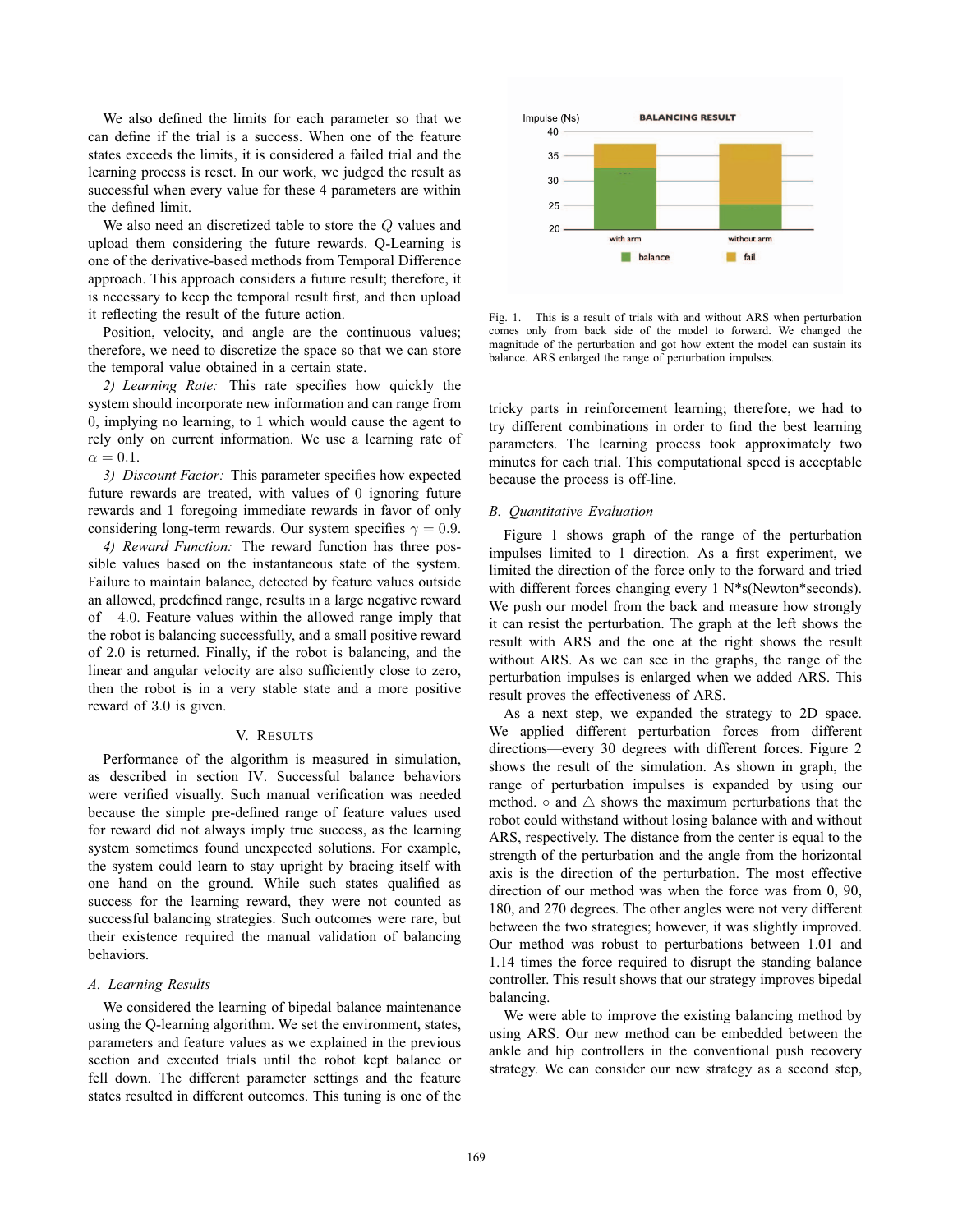We also defined the limits for each parameter so that we can define if the trial is a success. When one of the feature states exceeds the limits, it is considered a failed trial and the learning process is reset. In our work, we judged the result as successful when every value for these 4 parameters are within the defined limit.

We also need an discretized table to store the Q values and upload them considering the future rewards. Q-Learning is one of the derivative-based methods from Temporal Difference approach. This approach considers a future result; therefore, it is necessary to keep the temporal result first, and then upload it reflecting the result of the future action.

Position, velocity, and angle are the continuous values; therefore, we need to discretize the space so that we can store the temporal value obtained in a certain state.

*2) Learning Rate:* This rate specifies how quickly the system should incorporate new information and can range from 0, implying no learning, to 1 which would cause the agent to rely only on current information. We use a learning rate of  $\alpha = 0.1$ .

*3) Discount Factor:* This parameter specifies how expected future rewards are treated, with values of 0 ignoring future rewards and 1 foregoing immediate rewards in favor of only considering long-term rewards. Our system specifies  $\gamma = 0.9$ .

*4) Reward Function:* The reward function has three possible values based on the instantaneous state of the system. Failure to maintain balance, detected by feature values outside an allowed, predefined range, results in a large negative reward of <sup>−</sup>4.0. Feature values within the allowed range imply that the robot is balancing successfully, and a small positive reward of <sup>2</sup>.<sup>0</sup> is returned. Finally, if the robot is balancing, and the linear and angular velocity are also sufficiently close to zero, then the robot is in a very stable state and a more positive reward of <sup>3</sup>.<sup>0</sup> is given.

# V. RESULTS

Performance of the algorithm is measured in simulation, as described in section IV. Successful balance behaviors were verified visually. Such manual verification was needed because the simple pre-defined range of feature values used for reward did not always imply true success, as the learning system sometimes found unexpected solutions. For example, the system could learn to stay upright by bracing itself with one hand on the ground. While such states qualified as success for the learning reward, they were not counted as successful balancing strategies. Such outcomes were rare, but their existence required the manual validation of balancing behaviors.

#### *A. Learning Results*

We considered the learning of bipedal balance maintenance using the Q-learning algorithm. We set the environment, states, parameters and feature values as we explained in the previous section and executed trials until the robot kept balance or fell down. The different parameter settings and the feature states resulted in different outcomes. This tuning is one of the



Fig. 1. This is a result of trials with and without ARS when perturbation comes only from back side of the model to forward. We changed the magnitude of the perturbation and got how extent the model can sustain its balance. ARS enlarged the range of perturbation impulses.

tricky parts in reinforcement learning; therefore, we had to try different combinations in order to find the best learning parameters. The learning process took approximately two minutes for each trial. This computational speed is acceptable because the process is off-line.

## *B. Quantitative Evaluation*

Figure 1 shows graph of the range of the perturbation impulses limited to 1 direction. As a first experiment, we limited the direction of the force only to the forward and tried with different forces changing every 1 N\*s(Newton\*seconds). We push our model from the back and measure how strongly it can resist the perturbation. The graph at the left shows the result with ARS and the one at the right shows the result without ARS. As we can see in the graphs, the range of the perturbation impulses is enlarged when we added ARS. This result proves the effectiveness of ARS.

As a next step, we expanded the strategy to 2D space. We applied different perturbation forces from different directions—every 30 degrees with different forces. Figure 2 shows the result of the simulation. As shown in graph, the range of perturbation impulses is expanded by using our method.  $\circ$  and  $\triangle$  shows the maximum perturbations that the robot could withstand without losing balance with and without ARS, respectively. The distance from the center is equal to the strength of the perturbation and the angle from the horizontal axis is the direction of the perturbation. The most effective direction of our method was when the force was from 0, 90, 180, and 270 degrees. The other angles were not very different between the two strategies; however, it was slightly improved. Our method was robust to perturbations between 1.01 and 1.14 times the force required to disrupt the standing balance controller. This result shows that our strategy improves bipedal balancing.

We were able to improve the existing balancing method by using ARS. Our new method can be embedded between the ankle and hip controllers in the conventional push recovery strategy. We can consider our new strategy as a second step,